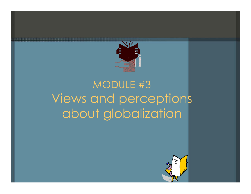

# MODULE #3 Views and perceptions about globalization

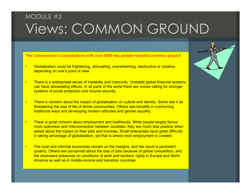# MODULE #3 Views: COMMON GROUND

**The Commission's consultations with over 2000 key people revealed common ground**

- • Globalization could be frightening, stimulating, overwhelming, destructive or creative, depending on one's point of view.
- • There is a widespread sense of instability and insecurity. Unstable global financial systems can have devastating effects. In all parts of the world there are voices calling for stronger systems of social protection and income security.
- • There is concern about the impact of globalization on culture and identity. Some see it as threatening the way of life of whole communities. Others see benefits in overturning traditional ways and developing modern attitudes and gender equality.
- • There is great concern about employment and livelihoods. While people largely favour more openness and interconnection between societies, they are much less positive when asked about the impact on their jobs and incomes. Small enterprises have great difficulty in taking advantage of globalization, yet that is where most employment is created.
- • The rural and informal economies remain on the margins, and the result is persistent poverty. Others are concerned about the loss of jobs because of global competition, and the downward pressures on conditions of work and workers' rights in Europe and North America as well as in middle-income and transition countries.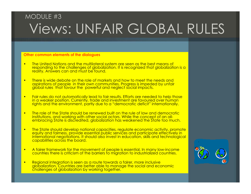## MODULE #3Views: UNFAIR GLOBAL RULES

#### **Other common elements of the dialogues**

- •The United Nations and the multilateral system are seen as the best means of responding to the challenges of globalization. It is recognized that globalization is a reality. Answers can and must be found.
- • There is wide debate on the role of markets and how to meet the needs and aspirations of people in their own communities. Progress is impeded by unfair global rules that favour the powerful and neglect social impacts.
- • Fair rules do not automatically lead to fair results. Efforts are needed to help those in a weaker position. Currently, trade and investment are favoured over human rights and the environment, partly due to a "democratic deficit" internationally.
- • The role of the State should be renewed built on the rule of law and democratic institutions, and working with other social actors. While the concept of an allembracing State is discredited, globalization has weakened the State too much.
- • The State should develop national capacities, regulate economic activity, promote equity and fairness, provide essential public services and participate effectively in international negotiations. It should also invest in education, skills and technological capabilities across the board.
- • A fairer framework for the movement of people is essential. In many low-income countries there is criticism of the barriers to migration to industrialized countries.
- • Regional integration is seen as a route towards a fairer, more inclusive globalization. Countries are better able to manage the social and economic challenges of globalization by working together.

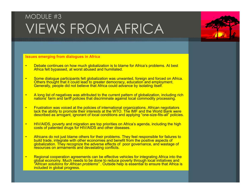### MODULE #3 VIEWS FROM AFRICA

#### **Issues emerging from dialogues in Africa**

- • Debate continues on how much globalization is to blame for Africa's problems. At best Africa felt bypassed, at worst abused and humiliated.
- • Some dialogue participants felt globalization was unwanted, foreign and forced on Africa. Others thought that it could lead to greater democracy, education and employment. Generally, people did not believe that Africa could advance by isolating itself.
- • A long list of negatives was attributed to the current pattern of globalization, including rich nations' farm and tariff policies that discriminate against local commodity processing.
- • Frustration was voiced at the policies of international organizations. African negotiators lack the ability to promote their interests at the WTO. The IMF and the World Bank were described as arrogant, ignorant of local conditions and applying "one-size-fits-all" policies.
- • HIV/AIDS, poverty and migration are top priorities on Africa's agenda, including the high costs of patented drugs for HIV/AIDS and other diseases.
- • Africans do not just blame others for their problems. They feel responsible for failures to build trade, integrate with other economies and benefit from the positive aspects of globalization. They recognize the adverse effects of poor governance, and wastage of resources on armaments and devastating conflicts.
- • Regional cooperation agreements can be effective vehicles for integrating Africa into the global economy. Much needs to be done to reduce poverty through local initiatives and *"African solutions for African problems"* . Outside help is essential to ensure that Africa is included in global progress.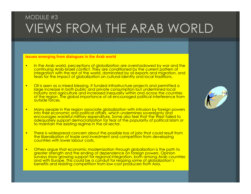#### MODULE #3VIEWS FROM THE ARAB WORLD

#### **Issues emerging from dialogues in the Arab world**

- • In the Arab world, perceptions of globalization are overshadowed by war and the continuing Arab-Israeli conflict. They are conditioned by the current pattern of integration with the rest of the world, dominated by oil exports and migration, and fears for the impact of globalization on cultural identity and local traditions.
- • Oil is seen as a mixed blessing. It funded infrastructure projects and permitted a large increase in both public and private consumption but undermined local industry and agriculture and increased inequality within and across the countries of the region. The global importance of oil encouraged political interference from<br>outside forces.
- •Many people in the region associate globalization with intrusion by foreign powers into their economic and political affairs, which undermines sovereignty and encourages wasteful military expenditure. Some also feel that the West failed to adequately support democratization for fear of the popularity of political Islam or to maintain the existing regime in the oil sector.
- • There is widespread concern about the possible loss of jobs that could result from the liberalization of trade and investment and competition from developing countries with lower labour costs.
- • Others argue that economic modernization through globalization is the path to greater strength and the ending of dependence on foreign powers. Opinion surveys show growing support for regional integration, both among Arab countries and with Europe. This could be a conduit for reaping some of globalization's benefits and resisting competition from low-cost producers from Asia.

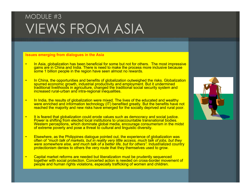## MODULE #3 VIEWS FROM ASIA

#### **Issues emerging from dialogues in the Asia**

- • In Asia, globalization has been beneficial for some but not for others. The most impressive gains are in China and India. There is need to make the process more inclusive because some 1 billion people in the region have seen almost no rewards.
- • In China, the opportunities and benefits of globalization outweighed the risks. Globalization spurred economic growth, industrial productivity and employment. But it undermined traditional livelihoods in agriculture, changed the traditional social security system and increased rural-urban and intra-regional inequalities.
- • In India, the results of globalization were mixed. The lives of the educated and wealthy were enriched and information technology (IT) benefited greatly. But the benefits have not reached the majority and new risks have emerged for the socially deprived and rural poor.
- • It is feared that globalization could erode values such as democracy and social justice. Power is shifting from elected local institutions to unaccountable transnational bodies. Western perceptions, which dominate global media, encourage consumerism in the midst of extreme poverty and pose a threat to cultural and linguistic diversity.
- • Elsewhere, as the Philippines dialogue pointed out, the experience of globalization was often of *"much talk of markets, but in reality very little access, much talk of jobs, but they were somewhere else, and much talk of a better life, but for others".* Industrialized country protectionism denies to others the very route that they themselves used to grow.
- • Capital market reforms are needed but liberalization must be prudently sequenced together with social protection. Concerted action is needed on cross-border movement of people and human rights violations, especially trafficking of women and children.

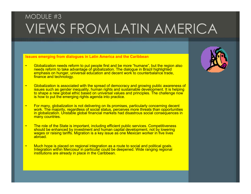## MODULE #3 VIEWS FROM LATIN AMERICA

**Issues emerging from dialogues in Latin America and the Caribbean**

- • Globalization needs reform to put people first and be more "humane", but the region also needs reform to take advantage of globalization. The dialogue in Brazil highlighted emphasis on hunger, universal education and decent work to counterbalance trade, finance and technology.
- • Globalization is associated with the spread of democracy and growing public awareness of issues such as gender inequality, human rights and sustainable development. It is helping to shape a new global ethic based on universal values and principles. The challenge now is how to put the emerging rights agenda into practice.
- • For many, globalization is not delivering on its promises, particularly concerning decent work. The majority, regardless of social status, perceives more threats than opportunities in globalization. Unstable global financial markets had disastrous social consequences in many countries.
- • The role of the State is important, including efficient public services. Competitiveness should be enhanced by investment and human capital development, not by lowering wages or raising tariffs. Migration is a key issue as one Mexican worker in five lives abroad.
- • Much hope is placed on regional integration as a route to social and political goals. Integration within Mercosur in particular could be deepened. Wide ranging regional institutions are already in place in the Caribbean.

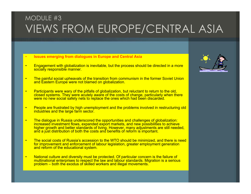#### MODULE #3VIEWS FROM EUROPE/CENTRAL ASIA

- •**Issues emerging from dialogues in Europe and Central Asia**
- • Engagement with globalization is inevitable, but the process should be directed in a more socially responsible manner.
- • The painful social upheavals of the transition from communism in the former Soviet Union and Eastern Europe were not blamed on globalization.
- •• Participants were wary of the pitfalls of globalization, but reluctant to return to the old, closed systems. They were acutely aware of the costs of change, particularly when there were no new social safety nets to replace the ones which had been discarded.
- • People are frustrated by high unemployment and the problems involved in restructuring old industries and the large farm sector.
- • The dialogue in Russia underscored the opportunities and challenges of globalization: increased investment flows, expanded export markets, and new possibilities to achieve higher growth and better standards of living. However, many adjustments are still needed, and a just distribution of both the costs and benefits of reform is important.
- • The social costs of Russia's accession to the WTO should be minimized, and there is need for improvement and enforcement of labour legislation, greater employment generation and reform of the educational system.
- • National culture and diversity must be protected. Of particular concern is the failure of multinational enterprises to respect the law and labour standards. Migration is a serious problem – both the exodus of skilled workers and illegal movements.

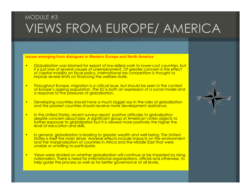#### MODULE #3VIEWS FROM EUROPE/ AMERICA

**Issues emerging from dialogues in Western Europe and North America**

- • Globalization was blamed for export of low-skilled work to lower-cost countries, but it is just one of several causes of unemployment. Of greater concern is the effect of capital mobility on fiscal policy. International tax competition is thought to impose severe limits on financing the welfare state.
- • Throughout Europe, migration is a critical issue, but should be seen in the context of Europe's ageing population. The EU is both an expression of a social model and a response to the pressures of globalization.
- • Developing countries should have a much bigger say in the rules of globalization and the poorest countries should receive more development assistance.
- • In the United States, recent surveys report positive attitudes to globalization despite concern about jobs. A significant group of American voters objects to further exposure to globalization but it is viewed more positively the higher the level of education and skills.
- •• In general, globalization is leading to greater wealth and well-being. The United States is itself the main driver. Adverse effects include impacts on the environment and the marginalization of countries in Africa and the Middle East that were unable or unwilling to participate.
- • Views were divided on whether globalization will continue or be impeded by rising nationalism. There is need for international organizations, official and otherwise, to help guide the process as well as for better governance at all levels.

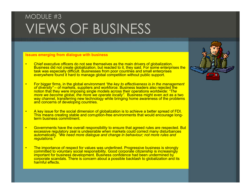## MODULE #3 VIEWS OF BUSINESS

#### **Issues emerging from dialogue with business**

- • Chief executive officers do not see themselves as the main drivers of globalization. Business did not create globalization, but reacted to it, they said. For some enterprises the task was especially difficult. Businesses from poor countries and small enterprises everywhere found it hard to manage global competition without public support.
- • For bigger firms, in the global environment *"the key to effectiveness is in the management of diversity"* – of markets, suppliers and workforce. Business leaders also rejected the notion that they were imposing single models across their operations worldwide: *"The more we become global, the more we operate locally".* Business might even act as a two way channel, transferring new technology while bringing home awareness of the problems and concerns of developing countries.
- • A key issue for the social dimension of globalization is to achieve a better spread of FDI. This means creating stable and corruption-free environments that would encourage longterm business commitment.
- • Governments have the overall responsibility to ensure that agreed rules are respected. But excessive regulatory zeal is undesirable when markets could correct many disturbances automatically. *"We need more dialogue and change in behaviour; not more rules and regulations."*
- • The importance of respect for values was underlined. Progressive business is strongly committed to voluntary social responsibility. Good corporate citizenship is increasingly important for business development. Business confidence had been undermined by corporate scandals. There is concern about a possible backlash to globalization and its harmful effects.

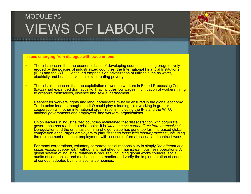## MODULE #3VIEWS OF LABOUR



**Issues emerging from dialogue with trade unions**

- • There is concern that the economic base of developing countries is being progressively eroded by the policies of industrialized countries, the International Financial Institutions (IFIs) and the WTO. Continued emphasis on privatization of utilities such as water, electricity and health services is exacerbating poverty.
- • There is also concern that the exploitation of women workers in Export Processing Zones (EPZs) had expanded dramatically. That includes low wages, intimidation of workers trying to organize themselves, violence and sexual harassment.
- • Respect for workers' rights and labour standards must be ensured in the global economy. Trade union leaders thought the ILO could play a leading role, working in greater cooperation with other international organizations, including the IFIs and the WTO, national governments and employers' and workers' organizations.
- • Union leaders in industrialized countries maintained that dissatisfaction with corporate governance has reached a crisis point. It is *"time to save corporations from themselves".*  Deregulation and the emphasis on shareholder value has gone too far. Increased global competition encourages employers to play *"fast and loose with labour practices"*, including the replacement of decent employment with insecure informal, casual and contract work.
- • For many corporations, voluntary corporate social responsibility is simply *"an attempt at a public relations repair job"*, without any real effect on mainstream business operations. A global system of industrial relations is required, including global works councils, social audits of companies, and mechanisms to monitor and verify the implementation of codes of conduct adopted by multinational companies.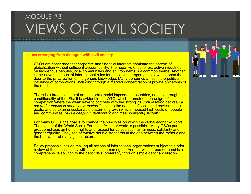# MODULE #3 VIEWS OF CIVIL SOCIETY

#### **Issues emerging from dialogue with civil society**

- • CSOs are concerned that corporate and financial interests dominate the pattern of globalization without sufficient accountability. The negative effect of extractive industries on indigenous peoples, local communities and environments is a common theme. Another is the adverse impact of international rules for intellectual property rights, which open the door to the privatization of indigenous knowledge. Many denounce a rise in the political influence of corporations, including through a marked concentration of private ownership of the media.
- • There is a broad critique of an economic model imposed on countries, notably through the conditionality of the IFIs. It is evident in the WTO, which promoted a paradigm of competition where the weak have to compete with the strong. *"A conversation between a cat and a mouse is not a conversation."* It led to the neglect of social and environmental goals, and so to an unsustainable pattern of growth which imposed high costs on people and communities. *"It is a deeply undemocratic and disempowering system."*
- • For many CSOs, the goal is to change the principles on which the global economy works. The slogan of the World Social Forum is: "Another world is possible". Many CSOs put great emphasis on human rights and respect for values such as fairness, solidarity and gender equality. They see pervasive double standards in the gap between the rhetoric and the behaviour of many global actors.
- • Policy proposals include making all actions of international organizations subject to a prior review of their consistency with universal human rights. Another widespread demand is a comprehensive solution to the debt crisis, preferably through simple debt cancellation.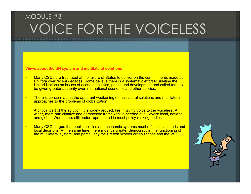### MODULE #3 VOICE FOR THE VOICELESS

**Views about the UN system and multilateral solutions**

- • Many CSOs are frustrated at the failure of States to deliver on the commitments made at UN fora over recent decades. Some believe there is a systematic effort to sideline the United Nations on issues of economic justice, peace and development and called for it to be given greater authority over international economic and other policies.
- • There is concern about the apparent weakening of multilateral solutions and multilateral approaches to the problems of globalization.
- • A critical part of the solution, it is widely argued, lies in giving voice to the voiceless. A wider, more participative and democratic framework is needed at all levels: local, national and global. Women are still under-represented in most policy-making bodies.
- • Many CSOs argue that public policies and economic systems must reflect local needs and local decisions. At the same time, there must be greater democracy in the functioning of the multilateral system, and particularly the Bretton Woods organizations and the WTO.